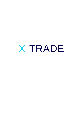# X TRADE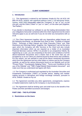## **1. Introduction**

1.1. This Agreement is entered by and between Xtrade.AU Pty Ltd ACN 140 899 476 AFSL 343628, with registered address Suite 3, 135 Macquarie Street, Sydney, NSW 2000 (hereinafter called the "Company" or "we" or "us"), on the one part, and the Client ("Client" or "you" or "user"), on the other part (together, "the Parties").

If you decide to download our software to use the trading demonstration then your obligations hereunder contained within this Client Agreement (to the extent relevant) apply to you as well even if you do not enter any transactions with us at all.

1.2. This Client Agreement together with any Appendices added thereto and the following documents, as amended from time to time: "Conflicts of Interest Policy", "Summary of Best Interest and Order Execution Policy" and "Risk Disclosure and Warnings Notice" (together, the "Agreement") set out the terms upon which the Company will offer Services to the Client and also include important information which we are required as a holder of an Australian Financial Services Licence ("AFSL") to provide to our prospective Clients. By registering as a user, you are consenting to the terms and conditions of all the above-mentioned documents and it means that in the event that you are accepted by us as our Client you shall be bound by these terms and conditions. For this reason, you are advised to read all the above mentioned documents which form the Agreement and any other letters or notices sent by the Company carefully, as well as the various documents found on our Website such as the "Privacy Policy" "Counterparty Hedging Policy", "Terms and Conditions for the use of the Website" and "TMD (Target Market Determination) document" and make sure that you understand and agree with them.

1.3. The Company is authorised and regulated by the Australian Securities and Investments Commission ("ASIC") to provide advice, dealing and marketmaking services in derivatives and foreign exchange contracts, pursuant to AFSL 343628. Xtrade Au Pty Ltd

1.4. The Agreement overrides any other agreements, arrangements, express or implied statements made by the Company or any Introducer(s).

1.5. The Agreement shall be binding upon and shall inure to the benefit of the Parties and their permitted successors and assigns.

# **PART ONE – THE PLATFORM**

## **2. Restrictions on the Users**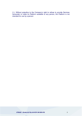2.1. Without prejudice to the Company's right to refuse to provide Services hereunder or make its Platform available to any person, the Platform is not intended for use by a person:

# *XTRADE - Xtrade.AU Pty Ltd ACN 140 899 476* 3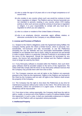- (a) who is under the age of 18 years old or is not of legal competence or of sound mind;
- (b) who resides in any country where such use would be contrary to local law or regulation or religion. The Platform and our Service hereunder are not intended to persons residing in any country where CFD trading activity or other such services would be contrary to local law or regulation or religion. It is your responsibility to comply with any local law or regulation to which you are subject to;
- (c) who is a citizen or resident of the United States of America;
- (d) who is an employee, director, associate, agent, affiliate, relative, or otherwise connected to the Company or any affiliate thereto.

#### **3. License and Provision of Platform**

3.1. Subject to the Client's obligations under the Agreement being fulfilled, the Company hereby grants the Client a limited licence, which is personal, nontransferable, non-exclusive and fully recoverable, to use the Platform(s) (including the use the Website and any associated downloadable software available on our Website from time to time), solely for personal use and benefit in order to place Orders in a particular Financial Product(s) in accordance with the terms of this Agreement. Should the Agreement be terminated for any reason, the licence will automatically be revoked and the Platform software must no longer be used by the Client.

3.2. If any third-party software is included within the Platform, then such thirdparty software shall be provided subject to the terms of this Agreement. The Client shall fully comply with the terms of any third-party software licences that the Company may provide them with from time to time.

3.3. The Company reserves any and all rights to the Platform not expressly granted to the Client by this Agreement. Rights to the Platform are licensed to the Client by the Company and not sold. All rights to the Platform shall remain the property of the Company.

3.4. The Company has the right to shut down the Platform(s) at any time for maintenance purposes without prior notice to the Client. This will be done only on weekends, unless not convenient or in urgent cases. In these cases, the Platform(s) will be inaccessible.

3.5. From time to time, acting reasonably, the Company shall have the right to add to, modify, or remove any of the Platform or parts of it without liability under this Agreement. In such a case, it shall use reasonable endeavours to replace any part of the Platform with an equivalent where practicable.

## **4. Intellectual Property**

*XTRADE - Xtrade.AU Pty Ltd ACN 140 899 476* 4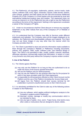4.1. The Platform(s), all copyrights, trademarks, patents, service marks, trade names, software code, icons, logos, characters, layouts, trade secrets, buttons, color scheme, graphics and data names are the sole and exclusive Intellectual Property (IP) of the Company or of third parties and are protected by local and international intellectual property laws and treaties. This Agreement does not convey an interest in or to the Platform(s) but only a right to use the Platform(s) according to the terms of this Agreement. Nothing in this Agreement constitutes a waiver of the Company's IP rights.

4.2. Under no circumstances shall the Client obscure or remove any copyright, trademark or any other notices from any of the Company's IP or Website or Platform(s).

4.3. It is understood that the Company may offer its Services under different trademarks and websites. The Company owns all the images displayed on its websites, the Platform(s) and downloadable software and material. The Client may not use these images in any way other than the manner which the Company provides them for.

4.4. The Client is permitted to store and print the information made available to them through the Company's Website or Platform(s) including documents, policies, text, graphics, video, audio, software code, user interface design or logos. The Client is not permitted to alter, modify, publish, transmit, distribute, otherwise reproduce commercially exploit that information, in whole or in part, in any format to any third party without the Company's express written consent.

#### **5. Use of the Platform**

5.1. The Clients agrees that they:

- (a) may only use the Platform for so long as they are authorised to do so under the terms of the licence granted hereunder;
- (b) will use the Platform only for lawful purposes;
- (c) may not use the Platform for any purpose other than for the purpose for which it has been provided under this Client Agreement;
- (d) is responsible for all transactions effected on their Client Account via the Platform and the use of the Platform (including the Access Data); and
- (e) will logout from the Platform should their access terminal be left unattended, to prevent unauthorised access to their Client Account.

5.2. It is absolutely prohibited for the Client to take any of the following actions in relation to the Platform(s):

- (a) Use any software, which applies artificial intelligence analysis to the Company's systems and/or Platform(s).
- (b) Intercept, monitor, damage or modify any communication which is not intended for them.
- (c) Use any type of spider, virus, worm, Trojan-horse, time bomb orany other codes or instructions that are designed to distort, delete,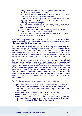damage or disassemble the Platform(s) or the communication system or any system of the Company.

- (d) Send any unsolicited commercial communication not permitted under applicable law or Applicable Regulations.
- (e) Do anything that will or may violate the integrity of the Company computer system or Platform(s) or cause such system(s) to malfunction or stop their operation.
- (f) Unlawfully access or attempt to gain access, reverse engineer or otherwise circumvent any security measures that the Company has applied to the Platform(s).
- (g) Perform any action that could potentially allow the irregular or unauthorised access or use of the Platform(s).
- (h) Carry out any commercial business on the Platform, unless specifically allowed by us in writing.

5.3. Should the Company reasonably suspect that the Client has violated the terms of clause 5.2, it is entitled to take one or more of the counter measures of clause 14.2 of this Client Agreement.

5.4. The Client is solely responsible for providing and maintaining the compatible equipment necessary to access and use the Platform(s), which includes at least a personal computer or mobile phone or tablet (depending on the Platform used), internet access by any means and telephone or other access line. Access to the internet is an essential feature and the Client shall be solely responsible for any fees necessary in order to connect to the internet.

5.5. The Client represents and warrants that they have installed and implemented appropriate means of protection relating to the security and integrity of their computer or mobile phone or tablet and that they have taken appropriate actions to protect their system from computer viruses or other similar harmful or inappropriate materials, devices, information or data that may potentially harm the Website, the Platform(s) or other systems of the Company. The Client further undertakes to protect the Company from any wrongful transmissions of computer virus or other similarly harmful or inappropriate material or device to the Platform(s) from their personal computer or mobile phone or tablet.

5.6. The Company makes no express or implied representations:

- (a) that the Platform will be available for access all the time, or at any time on a continuous uninterrupted basis. Access to the Platform may be affected, for example, by routine maintenance, repairs, reconfigurations or upgrades;
- (b) as to the operation, quality or functionality of the Platform;
- (c) that the Platform will be free of errors or defects; or
- (d) that the Platform is free from viruses or anything else that has contaminating or destructive properties including where such results in loss of or corruption to Client data or other property.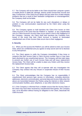5.7. The Company will not be liable to the Client should their computer system or mobile phone or tablet fail, damage, destroy and/or format their records and data. Furthermore, if the Client incurs delays and any other form of data integrity problems that are a result of their hardware configuration or mismanagement, the Company shall not be liable.

5.8. The Company will not be liable for any such disruptions or delays or problem in any communication experienced by the Client when using the Platform(s).

5.9. The Company agrees to hold harmless the Client from losses on their Client Account in the event that the Platform is 'hacked', or any unauthorised use of a Client Account's Access Data occurs which is due to the negligence of the Company. Likewise, the Client shall hold harmless the Company from losses in the event that their Client Account is hacked or associated unauthorised use of their Access Data occurs due to their negligence.

## **6. Security**

6.1. When you first access the Platform you will be asked to enter your Access Data, which are confidential and you agrees to keep secret and not to disclose to any third person.

6.2. The Client agrees to notify the Company immediately if they know or suspects that their Access Data or Client Account number have or may have been disclosed to any unauthorised person. The Company will then take steps to prevent any further use of such Access Data and will issue replacement Access Data. The Client will be unable to place any Orders until they receive the replacement Access Data.

6.3. The Client agrees that they will co-operate with any investigation the Company may conduct into any misuse or suspected misuse of their Access Data.

6.4. The Client acknowledges that the Company has no responsibility if unauthorised third persons gain access to information, including electronic addresses, electronic communication, personal data and Access Data when the above are transmitted between the Parties using the internet or other network communication facilities, post, telephone, or any other electronic means.

6.5. If the Company is informed from a reliable source that the Access Data of the Client may have been received by unauthorised third parties, the Company may, at its discretion without having an obligation to the Client, deactivate the Client Account.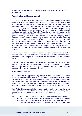## **PART TWO – CLIENT ACCEPTANCE AND PROVISION OF FINANCIAL SERVICES**

# **7. Application and Commencement**

7.1. After the Client fills in and submits the Account Opening Application Form together with all the required identification documentation required by the Company for its own internal checks and to satisfy applicable anti-money laundering/counter-terrorism financing laws and regulations, the Company will send them a notice informing them whether they have been accepted as a Client of the Company. It is understood that the Company is not to be required (and may be unable under Applicable Regulations) to accept a person as its Client until all documentation it requires has been received by the Company, properly and fully completed by such person and all internal Company checks (including without limitation anti-money laundering/counter-terrorism financing checks, appropriateness or suitability tests as the case may be) have been satisfied. It is further understood that the Company reserves the right to impose additional due diligence requirements to accept Clients residing in certain countries due to the requirement under Applicable Regulations for a licensee or reporting entity to take a risk based approach when performing due diligence on Clients.

7.2. The Agreement shall take effect and commence upon the receipt by the Client of a notice sent by the Company informing the Client that they have been accepted as the Company's Client or that a Client Account has been opened for him.

7.3 The Client acknowledges, recognises and understands that trading and investment in the Financial Products is speculative, may involve an extreme degree of risk and significant loss, and is appropriate only for persons who can assume risk of loss of their margin deposit.

# **8. Client Classification**

8.1. According to Applicable Regulations, Clients are defined as either Wholesale or Retail clients. Please note that the Company treats all of its Clients as Retail Clients. The Company nevertheless reserves the right to classify you as a Wholesale Client if you meet the criteria as prescribed by the Corporations Act and Corporations Regulations. It may in its absolute discretion and without creating any obligation to, notify you if you are classified as a Wholesale Client.

8.2. Retail Clients are entitled to more protections under the Corporations Act and Corporations Regulations, than Wholesale Clients. In summary, these protections are as follows (the list may not be exhaustive):

(a) A Retail Client is entitled to receive a Financial Services Guide and a Product Disclosure Statement which provide disclosures regarding the Company, its services, the Financial Products, the nature and risks of such Financial Products, our costs, commissions, fees and charges and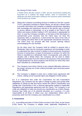## the storing of Client funds.

A Retail Client will also receive a TMD, and we recommend reading this document as it outlines the target market, class of consumers, key attributes and other information relating to the issuance and/or distribution of the products by Xtrade.

(b) Where the Company is providing services in relation to over-the- counter ("OTC") derivative contracts to Retail Clients, we will ask a Retail Client to provide information and complete a suitability questionnaire regarding their knowledge and experience relevant to the specific type of product or service offered or demanded, so as to enable to the Client to selfreflect and assess whether trading in OTC derivatives is appropriate for them. In case the Company considers, on the basis of the information or questionnaire score received, that the Client does not have the necessary skills or experience, it shall remind the client of the risks of CFD trading and direct them to the appropriate educational resources. The Client must not proceed with their account opening without acknowledging the risk reminder.

On the other hand, the Company shall be entitled to assume that a Wholesale Client has the necessary experience and knowledge in order to understand the risks involved in relation to those particular investment services or transactions, or types of transaction or product, for which the Client is classified as a Wholesale Client. Consequently, and unlike the situation with a Retail Client, the Company will not need to obtain additional information from the Client for the purposes of the assessment of appropriateness for those products and services for which they have been classified as a Wholesale Client.

- (c) The Company must inform Clients of any material difficulties relevant to the proper carrying out of their order(s) promptly upon becoming aware of the difficulty.
- (d) The Company is obliged to enter into a written basic agreement with Clients, setting out the essential rights and obligation of both parties.

8.3. It is understood that under the Corporations Act and Corporations Regulations, the Company has the right to change its policy and accept other categories of Clients as well and hence review the Client's Classification and change their Classification if this is deemed appropriate (subject to Applicable Regulations and appropriate agreement with the Client). The Company is not under any obligation to notify you should your classification as a Client change, however may notify you in its absolute discretion as a courtesy. It is your responsibility at all times to obtain your own independent advice and to proactively seek from the Company your classification as a Client.

# **9. Assessment**

9.1. In providing execution of Client Orders services to the Client, as per clause 8.2(b) herein, the Company is obliged under Applicable Regulations to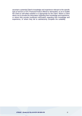ascertain a potential Client's knowledge and experience relevant to the specific type of service or OTC Financial Product offered or demanded, so as to enable the Client to self-reflect whether it is appropriate for the Client. Where a Client elects not to provide the information regarding their knowledge and experience, or where they provide insufficient information regarding their knowledge and experience, or where they fail to satisfactorily complete the suitability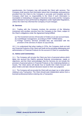questionnaire, the Company may still provide the Client with services. The Company shall assume that information about their knowledge andexperience provided from the Client to the Company is accurate and complete and the Company shall have no responsibility to the Client if such information is incomplete or misleading or changes or becomes inaccurate and the Company will be deemed to have performed its obligations under Applicable Regulations, unless the Client has informed the Company of such changes.

## **10. Services**

10.1. Trading with the Company involves the provision of the following investment and ancillary services from the Company to the Client, subject to the Client's obligations under the Agreement being fulfilled:

- (a) The Investment service of Execution of Orders on an own account basis.
- (b) Cash/Margin management, according to PART THREE below.
- (c) Foreign Currency Services provided they are associated with the provision of the services of clause 10.1(a) and (b).

10.2. It is understood that when trading in CFDs, the Company shall not hold any Financial Products of the Client and shall not be providing safekeeping and administration of Financial Products for the account of Client or custodianship.

## **11. Advice and Commentary**

11.1. The Company will not give the Client any form of personal advice which takes into account the Client's personal financial circumstances, needs or objectives, and the Client acknowledges that the Services do not include the provision of personal advice in Financial Products or the Underlying Markets or Assets. The Client alone will decide how to handle their Client Account and place Orders and take relevant decisions based on their own judgment.

11.2. The Company will not provide the Client with any legal, tax or other advice relating to any Transaction. The Client should seek independent advice from a licensed professional before entering into aTransaction.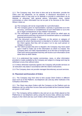11.3. The Company may, from time to time and at its discretion, provide the Client over the telephone, on its website, in disclosure documents or in newsletters which it may post on its Website or provide to subscribers via its Website or otherwise, with general advice, information, news, market commentary or other information but not as part of its Services to the Client. Where it does so:

- (a) The Company will not be responsible for suchinformation.
- (b) The Company gives no representation, warranty or guarantee as to the accuracy, correctness or completeness of such information or as to the tax or legal consequences of any related Transaction.
- (c) This information is general advice only and cannot be relied upon as personal advice and does not amount to investment advice or unsolicited financial promotions to the Client.
- (d) If the document contains a restriction on the person or category of persons for whom that document is intended or to whom it is distributed, the Client agrees that they will not pass it on to any such person or category of persons.
- (e) The Client accepts that prior to dispatch, the Company may have acted upon it itself to make use of the information on which it is based. The Company does not make representations as to the time of receipt by the Client and cannot guarantee that they will receive such information at the same time as other clients.

11.4. It is understood that market commentary, news, or other information provided or made available by the Company are subject to change and may be withdrawn at any time without notice.

11.5 Unless otherwise expressly agreed, the Company will provide services on an execution only basis in accordance with the Client's instructions.

11.6 The Company does not provide managed discretionary account services.

#### **12. Placement and Execution of Orders**

12.1. The Company may from time to time accept Client Orders in different ways such as on the Platform, via telephone call, and any other methods in the Company's discretion.

12.2. The Client may place Orders with the Company on the Platform and via telephone call, by using their Access Data and provided all the Essential Details are given in both cases.

12.3. The Company will be entitled to rely and act on any Order placed on the Platform(s) or via telephone call by using the Access Data, without any further enquiry to the Client and any such Orders will be binding upon theClient.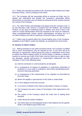12.4. Orders are executed according to the "Summary Best Interest and Order Execution Policy", which is binding on the Client.

12.5. The Company will use reasonable efforts to execute an Order, but it is agreed and understood that despite the Company's reasonable efforts transmission or execution may not always be achieved at all for reasons beyond the control of the Company.

12.6. The Client hereby acknowledges and agrees that the Company may, in its sole discretion, add, remove or suspend from the Platform, any Financial Product, on any type of Underlying Asset or Market, from time to time in the event of a stock transformation event (for example as the result of a takeover, share consolidation/split, merger, spinoff, nationalization, de-listing, etc.) or if no Client Positions are held in a particular Financial Product at that time.

12.7. Orders may be placed within the normal trading hours of the Company, available on the Platform and/or the Website, as amended from time totime.

#### **13. Decline of Client's Orders**

13.1. Without prejudice to any other provisions herein, the Company is entitled and in some circumstances may be required by law, at any time and at its discretion or requirement, without giving any notice or explanation to the Client to restrict the Client's trading activity, to cancel Orders, to decline or refuse to transmit or execute any Order of the Client, and the Client has no right to claim any damages, specific performance or compensation whatsoever from the Company, in any of the following cases:

- (a) Internet connection or communications are disrupted.
- (b) In consequence of request of regulatory or supervisory authorities of Australia or a court order or antifraud or anti-money laundering/counterterrorism financing authorities.
- (c) In consequence of the requirements of our regulator as prescribed by the ASIC Order.
- (d) Where the legality or genuineness of the Order is under doubt.
- (e) A Force Majeure Event has occurred.
- (f) In an Event of Default of the Client as described in clause 14.1below.
- (g) The Company has sent a notice of Termination of the Agreement to the Client.
- (h) The system of the Company rejects the Order due to trading limits imposed.
- (i) Under abnormal market conditions.
- (j) The Client does not hold adequate funds in their Balance for the specific Order or the Balance goes below zero.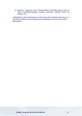(k) Benefits, Takeovers and Transformations (including events such as share consolidations/splits, mergers, takeovers, spinoffs, IPOs, delistings, etc.).

Depending on the circumstances of each event, the Company may close out any Open Positions at the market price immediately prior to such an event taking place.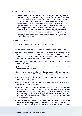## **14. Abusive Trading Practices**

14.1. Without prejudice to any other provisions herein, the Company is entitled to disable trading for abusive trading practices. Clients should be aware that some electronic advisor or signal trading strategies are not allowed by the Company. The Company will not allow strategies that harm our systems infrastructure or takes unfair advantage of the way we construct our Bid/Offer prices. Clients must ensure that they do not or allow others (whether authorised to do so or not) to use such a strategy on their accounts. The Company has discretion in determining if a strategy is abusive or takes unfair advantage of our systems. The Company may block your IP address from accessing or servers, disable trading without notice to you and cancel trades from the outset or make adjustments to reflect the market value.

#### **15. Events of Default**

- 15.1. Each of the following constitutes an "Event of Default":
	- (a) The failure of the Client to perform any obligation due to the Company.
	- (b) If the Client becomes insolvent or subject to a winding up or liquidation order or petition, or a receiver or administrator is appointed or any procedure which is similar or analogous to any of the above is commenced in respect of the Client.
	- (c) Where any representation or warranty made by the Client in clause 28 is or becomes untrue.
	- (d) The Client (if the Client is an individual) dies or is declared absent or becomes of unsound mind.
	- (e) Any other circumstance where the Company reasonably believes that it is necessary or desirable to take any action set out in clause 14.2.
	- (f) An action set out in clause 15.2 is required by a competent regulatory authority or body or court.
	- (g) An action set out in clause 15.2, particularly subclause (b), is required by clause 7 of the ASIC Order.
	- (h) The Company reasonably considers that the Client involves the Company in any type of fraud or illegality or breach of Applicable Regulations or the Company is placed at risk of being involved in any type of fraud or illegality or breach of Applicable Regulations if it continues offering Services to the Client, even when this is not due to the Client's wrongdoing.
	- (i) The Company reasonably considers that there is a material violation by the Client of the requirements established by Australian legislation or other countries having jurisdiction over the Client or their trading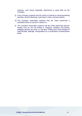activities, such being materiality determined in good faith by the Company.

- (j) If the Company suspects that the Client is involved in money laundering activities, terrorist financing, card fraud or other criminal activities.
- (k) The Company reasonably suspects that the Client performed a prohibited action as set out in clause 5.2.
- (l) The Company reasonably suspects that the Client performed abusive trading such as, but not limited to, Snipping, Scalping, Pip-hunting, Hedging, placing "buy stop" or "sell stop" Orders prior to the release of financial data, arbitrage, manipulations or a combination of faster/slower feeds.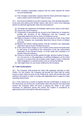- (m)The Company reasonably suspects that the Client opened the Client Account fraudulently.
- (n) The Company reasonably suspects that the Client performed forgery or used a stolen card to fund their Client Account.

15.2. If an Event of Default occurs the Company may, at its absolute discretion, at any time and without prior Written Notice, take one or more of the following actions as deemed appropriate under the circumstances:

- (a) Terminate this Agreement immediately without prior notice to the Client.
- (b) Cancel any Open Positions.
- (c) Temporarily or permanently bar access to the Platform(s) or suspend or prohibit any functions of the Platform(s) until the Company can reasonably determine that an Event of Default occurred.
- (d) Reject or decline or refuse to transmit or execute any Order of the Client until the Company can reasonably determine that an Event of Default occurred.
- (e) Restrict the Client's trading activity until the Company can reasonably determine that an Event of Default occurred.
- (f) In the case of fraud, forgery or use of stolen cards reverse the funds back to real owner or according to the instructions of the law enforcement authorities of the relevant country, or of the credit card company or of another financial institution.
- (g) Cancel or reverse any profits gained through: abusive trading of clause 14.1 (k) and (m); or the application of artificial intelligence on the Client Account; or in case of the use of stolen cards, forgery, fraud; or when the Client engaged in a criminal activity such as money laundering.
- (h) Take legal action for any losses suffered by the Company.

# **16. Trade Confirmations**

16.1. The Company shall provide the Client with adequate reporting on their Orders. For this reason, the Company will provide the Client with an online access to their Client Account via the Platform(s), which will provide them with sufficient information in order to comply with applicable laws in regard to Client reporting requirements.

16.2. If the Client has a reason to believe that the Confirmation is wrong or if the Client does not receive any Confirmation when they should, the Client shall contact the Company within 48 hours of placing the Order. If the Client expresses no objections during this period, the content is considered as approved by them and shall be deemed conclusive.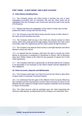# **PART THREE – CLIENT MONEY AND CLIENT ACCOUNT**

## **17. Client Money Handling Rules**

17.1. The Company places any Client money it receives into one or more segregated account(s) with an Australian ADI and the Client funds will be segregated from the Company's own money and cannot be used in the course of its business.

17.2. Please note that such segregation of the Client's money may not fully protect the Client's money from the risk of loss.

17.3. The Company may hold Client money and the money of other clients in the same account (omnibus account).

17.4. The Company shall not pay to the Client any interest earned on Client money (other than profit gained through trading Transactions from their Client Account(s) under this Agreement) and the Client waives all right to interest.

17.5. The Company may deposit Client money in overnight deposits and will be allowed to keep any interest.

17.6. It is agreed that the Company shall have the right to transfer the Client Money to successors or assignees or transferees or buyers, with 15 Business Days prior Written Notice to the Client for the purposes of clause 33.2 of the Client Agreement.

17.7. The Company shall have a general lien on all funds held by the Company or its Associates or its nominees on the Client's behalf until the satisfaction of their obligations.

#### **18. Client Accounts, Deposits and Withdrawals**

18.1. The Company shall open one Client Account for the Client to allow them to place Orders in particular Financial Products.

18.2. It is understood that the types of the different Client Accounts offered by the Company and the characteristics of such Client Accounts are found on the Website and are subject to change at the Company's discretion and according to clause 24 hereunder.

18.3. The Client Account shall be activated upon the Client depositing the minimum initial deposit, as determined by the Company in its discretion from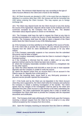time to time. The minimum initial deposit may vary according to the type of Client Account offered to the Client and is found on the Website.

18.4. All Client Accounts are denoted in USD. In the event that you deposit or withdraw in a currency other than USD, the moneys will first be converted into USD before entering the Client Account. This may expose you to foreign exchange risk.

18.5. The Client may deposit funds into the Client Account at any time during the course of this Agreement. Deposits will be made via the methods and in the currencies accepted by the Company from time to time. The detailed information about deposit options is shown on the Website.

18.6. The Company shall have the right to request the Client at any time to provide documentation to confirm the source of funds deposited into the Client Account. The Company shall have the right to reject a deposit of the Client and/or block the Client Account in any of the following cases:

(a) if the Company is not duly satisfied as to the legality of the source of funds;

(b) if the Client fails to provide the Company with any relevant documents it requests from the Client for client identification purposes or for any other reason;

(c) if the Company reasonably suspects or has concerns that the submitted documents may be false or forged:

(d) if the Company reasonably suspects that the Client is involved in illegal or fraudulent activity;

(e) if the Company is informed that the credit or debit card (or any other payment method used by the Client) has been lost or stolen;

(f) where the Company reasonably considers that there is a chargeback risk for any other reason;

(g) when the Client deposits AUD \$10,000 or more (in one or more separate deposits) and the Company is unable to verify the source;

(h) where the deposit comes from an account that is not an account in the Client's name (ie. deposits from a third party); or

(i) when the acquiring bank, issuer bank or any third-party processor or payment service provider rejected the transaction.

18.7. If the funds sent by the Client are not deposited in the Client Account when they were supposed to, the Client shall notify the Company and authorise the Company to initiate a banking investigation of the transfer. The Client agrees that any charges of the investigation shall be paid by the Client and deducted from their Client Account or paid directly to the bank undertaking the investigation. The Client understands and agrees that in order to handle the investigation the Client shall have to provide the Company with the requested documents and certificates.

18.8. The Company shall make withdrawals of Client funds upon the Company receiving a relevant request from the Client by fax or email or in any other method accepted by the Company from time to time.

18.9. Upon the Company receiving an instruction from the Client to withdraw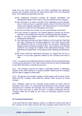funds from the Client Account, after the Client completed the withdrawal process, the Company shall pay the said amount within one to five Business Days, if the following requirements are met:

- (a) the withdrawal instruction includes all required information and identification details of the Client as may be required by the Company;
- (b) the instruction is to make a transfer to the originating account (whether that is a bank account, a payment system account etc) from which the money was originally deposited in the Client Account or at the Client's request to a bank account belonging to the Client;
- (c) the account where the transfer is to be made belongs to theClient;
- (d) at the moment of payment, the Client's Balance exceeds the amount specified in the withdrawal instruction including all payment charges;
- (e) there is no Force Majeure event which prohibits the Company from effecting the withdrawal;
- (f) the Client does not have any Open Positions or in the case the Client has any Open Positions the remaining Balance in the Client Account after the withdrawal shall be at least double the necessary Maintenance Margin required to keep the positions open. The Company in its absolute discretion can change the multiple of the Maintenance Margin, or the Maintenance Margin itself, it may require before allowing the withdrawal; or
- (g) the Client sends the withdrawal instruction in a signed form by fax or email or in any other approved method by the Company from time to time.

18.10. It is agreed and understood that the Company will not accept third party or anonymous payments in the Client Account and will not permit withdrawals to any other third party or anonymous account.

18.11. The Company reserves the right to reasonably decline a withdrawal request of the Client asking for a specific transfer method and the Company has the right to suggest an alternative.

18.12. All payment and transfer charges of third parties will be borne by the Client and the Company shall debit the relevant Client Account for these charges.

18.13. Mistakes made by the Company during transfer of funds shall be refunded to the Client. It is understood that should the Client provide wrong instructions for a transfer; the Company may be unable to correct the mistake and the Client may have to suffer the loss. It is further understood that the Company shall not be liable for any errors of third-party payment service providers.

## **19. Currency Conversions**

In the event that the Client deposits money in a different currency from that of the Currency of the Client Account then the Company shall convert the sum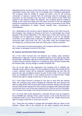deposited into the Currency of the Client Account. The Company shall do this at reasonable market rate and/or rate of exchange that it considers appropriate. The Company shall be entitled to charge the Client a fee for the currency conversion or impose a spread from the exchange rates for arranging such conversion as the Company may from time to time specify to the Client and publish on the Platform and/or the Website. The Company shall be entitled to charge to the Client and obtain from the Client Account or from the deposited amount the expenses incurred with regard to currency conversions for the Client, including commissions to banks, money transfer fees, commissions to intermediaries.

19.1. Depending on the currency used to deposit money in the Client Account, the Company may charge an amount in the form of a percentage (as a fixed spread) of the amount deposited. If the Client pays in their card currency, the Company will be allowed to charge a fixed spread of 3% for not like/like currencies, or so-called exotic currencies. In relation to what is called like/like currencies (GBP, USD, EUR, CHF, JPY, CAD, DKK, AUD), the Company does not charge any conversion fees when the Client pays in these currencies.

19.2. In the event of currency fluctuations, the Company will have no liability for any losses or damages incurred on the Client.

## **20. Inactive and Dormant Client Accounts**

20.1. If the Client Account has not featured any trading, open positions, withdrawals or deposits, it will be considered inactive on the calendar day after the last trade, withdrawal, deposit or closed position (the 'Inactive Date'). Where a Client Account remains inactive for a continuous period of three monthsafter the Inactive Date, we may charge a monthly Inactivity Fee.

20.2. As of the date of this Agreement, the Inactivity Fee is USD\$10 per calendar month, paid in arrears. For the avoidance of doubt, the monthly fee for a given calendar month will be deducted notwithstanding the fact that the account was only considered inactive for part of that month. In the event that there are insufficient funds in your trading account to meet this fee, Xtrade reserves the right to charge a lower fee or close your account.

20.3. If the Client Account is inactive for one year or more from the Inactive Date, the Company may cease charging the Inactivity Fee and reserves the right to suspend the Client Account and render it dormant. Money in the dormant account shall remain owing to the Client and the Company shall make and retain records and return such funds upon request by the Client at any time thereafter. The Company may charge a fee during the period when the Account is dormant.

20.4. As of the date of this Agreement, a dormant account may be charged a fee of USD\$60 per calendar month, paid in arrears. In the event that there are insufficient funds in your Client Account to meet this fee, Xtrade reserves the right to charge a lower fee or close your account.

20.5. These fees are subject to change with immediate effect by notice on the Website. Please refer to the Website for the latest inactivity and dormant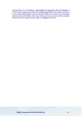account fees. It is the Client's responsibility to frequently visit the Website to review any changes to the fees and charges applicable to the Client Account. It is your sole responsibility to ensure you terminate your account if you no longer wish to trade with Xtrade. We may notify you that your account has become inactive out of courtesy but are under no obligation to do so.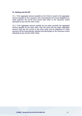## **21. Netting and Set-Off**

21.1. If the aggregate amount payable by the Client is equal to the aggregate amount payable by the Company, then automatically the mutual obligations to make payment are set-off and cancel each other to the maximum extent allowable by law and the ASIC Order.

21.2. If the aggregate amount payable by one party exceeds the aggregate amount payable by the other party, then the party with the larger aggregate amount shall pay the excess to the other party and all obligations to make payment will be automatically satisfied and discharged to the maximum extent allowable by law and the ASIC Order.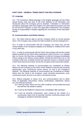# **PART FOUR – GENERAL TERMS ABOUT OUR RELATIONSHIP**

## **22. Language**

22.1. The Company's official language is the English language and the Client should always read and refer to the main Website for all information and disclosures about the Company and its activities. Translation or information provided in languages other than English is for informational purposes only and do not bind the Company or have any legal effect whatsoever, the Company having no responsibility or liability regarding the correctness of the information therein.

#### **23. Communications and Written Notices**

23.1. The Client shall be able to call the Company within its normal working hours. The Company may contact the Client outside its normal workinghours.

23.2. In order to communicate with the Company, the Client may use the contact details of the Company available on its Website or notified to the Client in any other way.

23.3. In order to communicate with the Client, the Company will use the contact details provided by the Client whilst opening the Client Account or as updated later on. Hence, the Client has an obligation to notify the Company immediately of any change in the Client's contact details. Should the Client fail to do so, the Company shall have no liability should any important notices or cheques issued in their name become lost when sent by the Company at their last known details.

23.4. The following methods of communication are considered as Written Notice from the Company to the Client: email, Platform's internal mail, facsimile transmission, post, commercial courier service, air mail or the Company's Website. The following methods of communication are considered as Written Notice from the Client to the Company: email, facsimile transmission, post, commercial courier service or air mail or commercial courier.

23.5. Without prejudice to clause 22.6, any communications sent to either Party, as applicable, (documents, notices, confirmations, statements, reports etc.) are deemed received:

- (a) If sent by email, within one hour after emailing it and provided the email has left from the sender's outlook.
- (b) If sent by the Platform's internal mail, immediately after sending it.
- (c) If sent by facsimile transmission, upon receipt by the sender of a transmission report from its facsimile machine confirming receipt of the message by recipient's facsimile machine.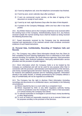- (d) If sent by telephone call, once the telephone conversation has finished.
- (e) If sent by post, seven calendar days after posting it.
- (f) If sent via commercial courier service, at the date of signing of the document on receipt of such notice.
- (g) If sent by air mail, eight Business Days after the date of their dispatch.
- (h) If posted on the Company Webpage, within one hour after it has been posted.

23.6. Any Written Notices sent to the Company shall have to be received within the working hours of the Company. Notwithstanding clause 22.5, any Notices received outside the normal working hours shall be treated as being received the following Business Day.

23.7. Faxed documents received by the Company may be electronically scanned and reproduction of the scanned version shall constitute conclusive evidence of such faxed instructions.

## **24. Personal Data, Confidentiality, Recording of Telephone Calls and Records**

24.1. The Company may collect Client information directly from the Client (in their completed Account Opening Application Form or otherwise) or from other persons including, for example, the credit reference agencies, fraud prevention agencies, banks, other financial institutions, third-party authentication service providers and the providers of public registers.

24.2. Client information which the Company holds is to be treated by the Company as confidential and will not be used for any purpose other than in connection with the provision, administration and improvement of the Services, anti-money laundering/counter-terrorism financing and due diligence checks, for research and statistical purposes and for marketing purposes. Information already in the public domain, or already possessed by the Company without a duty of confidentiality will not be regarded as confidential.

24.3. The Company has the right to disclose Client information (including recordings and documents of a confidential nature, card details) in the following circumstances:

- (a) Where required by law or a court order by a competent Court.
- (b) Where requested by ASIC or any other regulatory authority having control or jurisdiction over the Company or the Client or their associates or in whose territory the Company has Clients.
- (c) To relevant authorities to investigate or prevent fraud, money laundering or other illegal activity.
- (d) To such an extent as reasonably required so as to execute Orders and for purposes ancillary to the provision of the Services.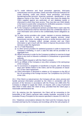- (e) To credit reference and fraud prevention agencies, third-party authentication service providers, banks and other financial institutions for credit checking, credit card checks, fraud prevention, anti-money laundering/counter-terrorism financing purposes, identification or due diligence checks of the Client. To do so they may check the details the Client supplied against any particulars on any database (public or otherwise) to which they have access. They may also use Client details in the future to assist other companies for verification purposes. A record of the search will be retained by the Company.
- (f) To the Company's professional advisors provided that in each case the relevant professional shall be informed about the confidential nature of such information and commit to the confidentiality herein obligations as well.
- (g) To other service providers who create, maintain or process databases (whether electronic or not), offer record keeping services, email transmission services, messaging services or similar services which aim to assist the Company collect, storage, process and use Client information or get in touch with the Client or improve the provision of the Services under this Agreement.
- (h) To a Trade Repository.
- (i) To other service providers for statistical purposes in order to improve the Company's marketing, in such a case the data will be provided in an aggregate form.
- (k) Where necessary in order for the Company to defend or exercise its legal rights to any court or tribunal or arbitrator or Ombudsman or government authority.
- (l) At the Client's request or with the Client's consent.
- (m)To an Affiliate of the Company or any other company in the samegroup of the Company.
- (n) To successors or assignees or transferees or buyers, with 15 Business Days prior Written Notice to the Client, and for the purposes of clause 33.2 of the Client Agreement.
- (o) Client Information is disclosed in relation to US taxpayers to the IRS of the US according to the Foreign Account Tax Compliance Act (FATCA) of the USA.

24.4. If the Client is a natural person, the Company will use, store, process and handle personal information provided by the Client in connection with the provision of the Services in accordance with the *Privacy Act 1988* (Cth).The Company is obliged to supply the Client, on request, with a copy of personal data which it holds about the Client (if any), provided that the Client pays a reasonable administrative fee.

24.5. By entering into this Agreement, the Client will be consenting to the transmittal of the Client's personal data outside Australia, according to the Australian Privacy Principles for the reasons specified in clauses 23.2 and 23.3.

24.6. Telephone conversations between the Client and the Company may be recorded and kept by the Company and recordings will be the sole property of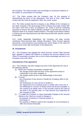the Company. The Client accepts such recordings as conclusive evidence of the Orders or conversations so recorded.

24.7. The Client accepts that the Company may, for the purpose of administering the terms of the Agreement, from time to time, make direct contact with the Client by telephone, SMS, fax, email, orpost.

24.8. The Client accepts that the Company or any Affiliate of the Company or any other company in the same group of the Company may make contact with the Client, from time to time, by telephone, fax, email or post for marketing purposes to bring to the Client's attention products or services that may be of interest to them or to conduct market research. This right is exercised in relation to Clients who are natural persons only when they provide their specific consent to that effect.

24.9. Under Applicable Regulations, the Company will keep records containing Client personal data, trading information, Client Account opening documents, communications and anything else which relates to the Client for at least seven years after termination of the Agreement.

## **25. Amendments**

25.1. The Company may upgrade the Client Account, convert Client Account type, upgrade or replace the Platform or enhance the services offered to the Client if it reasonably considers this is to the Clients advantage and there is no increased cost to the Client.

#### *Amendments of the Agreement*

25.2. The Company may also change any terms of the Agreement for any of the following reasons:

- (a) Where the Company reasonably considers that:
	- the change would make the terms of the Agreement easier to understand or are more complete; or
	- the change would not be to the disadvantage of the Client.
- (b) To cover:
- the involvement of any service or facility the Company offers to the Client; or
- the introduction of a new service or facility; or
- the replacement of an existing service or facility with a new one; or
- · the withdrawal of a service or facility which has become obsolete, or has ceased to be widely used, or has not been used by the Client at any time in the previous year, or it has become very expensive for the Company to offer.
- (c) To enable the Company to make reasonable changes to the services offered to the Client as a result of changes in:
- the banking, investment or financial system; or
- technology; or
- the systems or Platform used by the Company to run its business or offer the Services hereunder.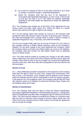- (d) As a result of a request of ASIC or of any other authority or as a result of change or expected change in Applicable Regulations.
- (e) Where the Company finds that any term in the Agreement is inconsistent with Applicable Regulations. In such a case, it will not rely on that term but treat it as if it did reflect the relevant Applicable Regulations and shall update the Agreement to reflect the Applicable Regulations.

25.3. The Company may change any of the terms of the Agreement for any serious reason not listed under clause 24.2. Where the Client is a natural person they shall have the right to object to the change.

25.4. For any change made under clauses 24.2 and 24.3, the Company shall provide the Client with advance notice of at least 10 Business Days. However, the Client acknowledges that a change which is made to reflect a change of Applicable Regulations may, if necessary, take effect immediately.

24.5 For any change made under (a), (d) and (e) of clause 24.2, the notice of the Company shall be a Written Notice including a post on the Company's Website. For any other change of the Client Agreement the Company, where the Company elects to provide such Written Notice via a post on the Website, the Company shall also provide the said Written Notice with an additional means of Written Notice.

24.6. The Client shall be treated as accepting the change on the date notified unless, before then, the Client informs the Company that they wish to object the change. Client shall not have to pay any charges as a result of terminating their account in this case, other than costs due and payable for Services offered until the termination.

#### *Review of Costs*

24.7. Unless differently provided for elsewhere in this Agreement, the Company shall have the right to review its costs, fees, charges and commissions, from time to time, in its discretion. Such changes shall be affected on the Platform and/or the Website and the Client is responsible to check for updates regularly. In the absence of a Force Majeure event, the Company shall provide the Client with advance notice on its Website of at least ten Business Days. Swaps may be changed without prior notice.

#### *Review of Classification*

24.8. The Company shall have the right to review the Client's Classification according to Applicable Regulations. Notwithstanding clause 24.1, changing the Client's Classification may also mean changing the type of Client Account of the Client. The Client shall be treated as accepting the change on 2 business days after the Client is informed of their change in account unless, before then, the Client informs the Company that the Client wishes to terminate the Agreement and not accept the change.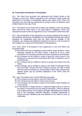#### **26. Termination and Results of Termination**

26.1. The Client may terminate this Agreement with Written Notice to the Company at any time. Without prejudice to the Company's rights under this Agreement to terminate it immediately without prior notice to the Client, the Company may terminate the Agreement by giving at least 15 Business Days Written Notice to the other Party.

26.2. Termination by any Party will not affect any obligation which has already been incurred by either Party or any legal rights or obligations which may already have arisen under the Agreement or any Transactions made hereunder.

26.3. Upon termination of this Agreement, all amounts payable by the Client to the Company will become immediately due and payable including (but without limitation) all outstanding costs and any other amounts payable to the Company, any charges and additional expenses incurred or to be incurred by the Company as a result of the termination of the Agreement.

26.4. Once notice of termination of this Agreement is sent and before the termination date:

- (a) the Client will have an obligation to close all their Open Positions, unless otherwise required by the ASIC Orders. If they fail to do so, upon termination, the Company will close any Open Positions at current prices;
- (b) the Company will be entitled to cease to grant the Client access to the Platform(s) or may limit the functionalities the Client is allowed to use on the Platform(s);
- (c) the Company will be entitled to refuse to accept new Orders from the Client;
- (d) the Company will be entitled to refuse to the Client to withdraw money from the Client Account and the Company reserves the right to keep Client's funds as necessary to close positions which have already been opened and/or pay any pending obligations of the Client under the Agreement.

26.5. Upon Termination any or all the following may apply:

- (a) The Company has the right to close the Client Account;
- (b) The Company has the right to convert any currency;
- (c) The Company has the right to close out the Client's Open Positions at current prices;
- (d) In the absence of illegal activity or suspected illegal activity or fraud of the Client or instructions from the relevant authorities, if there is Balance in the Client's favour, the Company will (after withholding such amounts that in the Company's absolute discretion considers appropriate in respect of future liabilities) pay such Balance to the Client as soon as reasonably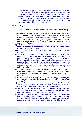practicable and supply the Client with a statement showing how that Balance was arrived at and, where appropriate, instruct any Nominee or/and any Custodian to also pay any applicable amounts. Such funds shall be delivered in accordance to the Client's Instructions to the Client. It is understood that the Company will affect payments only to an account in the name of the Client. The Company has the right to refuse, at its discretion, to effect third-party payments.

#### **27. Force Majeure**

- 27.1. A Force Majeure Event includes without limitation each of thefollowing:
	- (a) Government actions, the outbreak of war or hostilities, the threat of war, acts of terrorism, national emergency, riot, civil disturbance, sabotage, requisition, or any other international calamity, economic or political crisis that, in the Company's opinion, prevents it from maintaining an orderly market in one or more of the Financial Products in respect of which it deals on the Platform;
	- (b) Act of God, earthquake, tsunami, hurricane, typhoon, accident, storm, flood, fire, epidemic or other natural disaster making it impossible for the Company to offer its Services;
	- (c) Labour disputes and lock-outs which affect the operations of the Company;
	- (d) Suspension of trading on a market or the liquidation or closure of any market, or the fixing of minimum or maximum prices for trading on a market to which the Company relates its Quotes, or the imposition of limits or special or unusual terms on the trading in any such market or a regulatory ban on the activities of any party (unless the Company has caused that ban), decisions of state authorities, governing bodies of selfregulating organisations, decisions of governing bodies of organised trading platforms;
	- (e) A financial services moratorium having been declared by appropriate regulatory authorities or any other acts or regulations of any regulatory, governmental, supervisory, regulatory or supranational body or authority;
	- (f) Breakdown, failure or malfunction of any electronic, network and communication lines (not due to the bad faith or willful default of the Company);
	- (g) Any event, act or circumstances not reasonably within the Company's control and the effect of that event(s) is such that the Company is not in a position to take any reasonable action to cure the default;
	- (h) The occurrence of an excessive movement in the level of any transaction and/or Underlying Asset or Market or the Company's anticipation (acting reasonably) of the occurrence of such a movement;
	- (i) The failure of any relevant supplier, Financial Institution intermediate broker, Liquidity Provider, agent or principal of the Company,custodian, sub-custodian, dealer, Exchange, clearing house or regulatory or selfregulatory organisation, for any reason, to perform its obligations.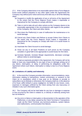27.2. If the Company determines in its reasonable opinion that a Force Majeure Event exists (without prejudice to any other rights under the Agreement) the Company may without prior notice and at any time take any or all of the following steps:

- (a) Suspend or modify the application of any or all terms of the Agreement to the extent that the Force Majeure Event makes it impossible or impractical for the Company to comply with them.
- (b) Take or omit to take all such other actions as the Company deems to be reasonably appropriate in the circumstances with regard to the position of the Company, the Client and other clients;
- (c) Shut down the Platform(s) in case of malfunction for maintenance or to avoid damage;
- (d) Cancel any Client Orders and Refuse to accept Orders from Clients to the extent that the Force Majeure Event makes it impossible or impractical for the Company to comply with them or to avoid losses to the Client;
- (e) Inactivate the Client Account to avoid damage;
- (f) Close out any or all Open Positions at such prices as the Company considers in good faith to be appropriate to avoid losses for the Client;
- (g) Increase Spreads, increase Margin requirements, decrease Leverage without notice to avoid damages.

27.3. Except as expressly provided in this Agreement, the Company will not be liable or have any responsibility for any type of loss or damage arising out of any failure, interruption, or delay in performing its obligations under this Agreement where such failure, interruption or delay is due to a Force Majeure event.

## **28. Limitations of Liability and Indemnity**

28.1. In the event the Company provides information, recommendations, news, information relating to transactions, market commentary or research to the Client (or in newsletters which it may post on its Website or provide to subscribers via its Website or otherwise), the Company shall not, in the absence of its fraud, willful default or gross negligence, be liable for any losses, costs, expenses or damages suffered by the Client arising from any inaccuracy or mistake in any such information given.

28.2. The Company will not be held liable for any loss or damage or expense or loss incurred by the Client in relation to, or directly or indirectly arising from but not limited to:

(a) Any error or failure or interruption or disconnection in the operation of the Platform(s), or any delay caused by the Client Terminal or Transactions made via the Client Terminal, any technical problems, system failures and malfunctions, communication line failures,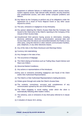equipment or software failures or malfunctions, system access issues, system capacity issues, high internet traffic demand, security breaches and unauthorised access, and other similar computer problems and defects;

- (b) Any failure by the Company to perform any of its obligations under the Agreement as a result of Force Majeure Event or any other cause beyond its control;
- (c) The acts, omissions or negligence of any third party;
- (d) Any person obtaining the Client's Access Data that the Company has issued to the Client prior to the Client's reporting to the Company of the misuse of their Access Data;
- (e) Unauthorized third persons having access to information, including electronic addresses, electronic communication, personal data and Access Data when the above are transmitted between the Parties or any other party, using the internet or other network communication facilities, post, telephone, or any other electronic means;
- (f) Any of the risks in the Risks Disclosure and Warnings Notice;
- (g) Currency risk materialising;
- (h) Any changes in the rates of tax;
- (i) The occurrence of Slippage;
- (j) The Client relying on functions such as Trailing Stop, Expert Advisor and Stop Loss Orders;
- (k) Abnormal Market Conditions;
- (l) Any actions or representations of the Introducer;
- (m)Any acts or omissions (including negligence and fraud) of the Client and/or their Authorised Representative;
- (n) The Client's or their Authorised Representative's trading decisions;
- (o) Orders given through and under the Client's Access Data;
- (p) The contents, correctness, accuracy and completeness of any communication spread by the use of the Platform(s);
- (q) The Client engaging in social trading, under which the client is automatically following other traders' Orders;
- (r) The solvency, acts or omissions of any third party referred to in clause 16.5.
- (s) A situation of clause 16.6. arising.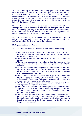28.3. If the Company, its Directors, Officers, employees, Affiliates, or Agents incur any claims, damage, liability, costs or expenses, which may arise in relation to the execution or as a result of the execution of the Agreement and/or in relation to the provision of the Services and/or in relation to the use of the Platform(s), that the Company, its Directors, Officers, employees, Affiliates, or Agents bear no responsibility whatsoever, it is the Client's responsibility to indemnify the Company for such.

28.4. The Company shall in no circumstances be liable to the Client for any consequential, special, incidental or indirect losses, damages, loss of profits, loss of opportunity (including in relation to subsequent market movements), costs or expenses the Client may suffer in relation to the Agreement, the provision of the Services or the use of the Platform(s).

28.5. The Company's cumulative liability to the Client shall not exceed the fees paid to the Company under this Agreement in relation to the particular Client for the Provision of the Services and use of the Platform(s).

## **29. Representations and Warranties**

29.1. The Client represents and warrants to the Company thefollowing:

- (a) The Client is at least 18 years old, or the age of legal consent for engaging in financial investment activities under the laws of any jurisdiction that applies to him;
- (b) The Client is of sound mind and capable of taking decisions for their own actions;
- (c) There are no restrictions on the markets or financial products in which any Transactions will be sent for execution, depending on the Client's nationality;
- (d) All actions performed under the Agreement will not violate any law or rule applicable to the Client or to the jurisdiction in which the Client is resident, or any agreement by which the Client is bound or by which any of the Client's assets or funds are affected;
- (e) The Client will not use the IP or the Platform or Website in contravention to this Agreement, or for unauthorised or unlawful purposes and that they will use the IP, Platform and Website only for the benefit of their Client Account and not on behalf of any other person;
- (f) The Client is duly authorised to enter into the Agreement, to give Orders and to perform its obligations hereunder;
- (g) The Client is the individual who has completed the Account Opening Application Form or, if the Client is a company, the person who has completed Account Opening Application Form on the Client's behalf is duly authorised to do so;
- (h) The Client is acting as a principal and not as agent or representative or trustee or custodian on behalf of someone else. The Client may act on behalf of someone else only if the Company specifically consents to this in writing and provided all the documents required by the Company for this purpose are received;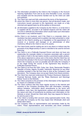- (i) The information provided by the Client to the Company in the Account Opening Application Form and at any time thereafter is true, accurate and complete and the documents handed over by the Client are valid and authentic.
- (j) The Client has read and fully understood the terms of theAgreement;
- (k) where the Client is more than one person, that all decisions made, and instructions issued, pursuant to this Agreement, are made on a fully informed and agreed basis by all the parties to theaccount;
- (l) all information supplied to the Company by the Client is, or at the time it is supplied will be, accurate in all material respects and the Client will not omit or withhold any information which would make such information inaccurate in any material respect;
- (m)the Client is not insolvent, and if the Client is a corporate client, no resolution has been passed and no petition has been presented or order made for the Client's winding up or liquidation or the appointment of a receiver or a receiver and manager or an administrator of other insolvency official to the Client or any of its assets;
- (n) The Client funds used for trading are not in any direct or indirect way the proceeds of any illegal activity or used or intended to be used for terrorist financing;
- (o) The Client is not a Politically Exposed Person and does not have any relationship (for example relative or business associate) with a person who holds or held in the last twelve months a prominent public position. If the above statement is untrue and, in the event, that the Client has not disclosed this already in the Account Opening Application Form, they will inform the Company as soon as possible and will notify the Company if at any stage during the course of this Agreement they become a Politically Exposed Person;
- (p) The Client is not from the USA, Cuba, Iran, Syria, Democratic People's Republic of Korea, Algeria, Ecuador, Indonesia, Myanmar (or any other countries included in this list from time to time at the Company's sole discretion). The Company does not accept Clients from thesecountries;
- (q) The Client has read and understood the Product Disclosure Statement, Financial Services Guide, and the "Risks Disclosure and Warnings Notice" found on the Website;
- (r) The Client consents to the provision of the information of the Agreement by means of a Website or email;
- (s) The Client confirms that they have regular access to the internet and consents to the Company providing them with information, including, without limitation, information about amendments to the terms and conditions, costs, fees, this Agreements, policies and information about the nature and risks of investments by posting such information on the Website or email. Should the Client wish, they may request for these to be sent by post or fax;
- (t) If the Client is funding their account using superannuation funds, they will notify the Company as this may impact their Wholesale client and Retail client status;
- (u) The Company relies on representations and warranties made by the Client. These representations and warranties and those contained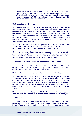elsewhere in this Agreement, survive the entering into of this Agreement and are repeated in respect of each financial product transaction: and

(v) You acknowledge to us that you have received or downloaded, and read and understood the TMD document and you agree that you are within the class of consumers described in our TMD.

## **30. Complaints and Disputes**

30.1. If the Client wishes to report a complaint, they must send an email at [compliance@xtrade.com.au](mailto:compliance@xtrade.com.au) with the completed "Complaints Form" found on our Website. The Company will acknowledge receipt of your complaint within 1 business day. The Company will try to resolve to resolve it without undue delay and within 30 calendar days of having received the complaint, according to the Company's Internal dispute resolution policy forClients, unless Xtrade advises that they reasonably require more time due to the nature of the complaint or other reasonable consideration.

30.2. If a situation arises which is not expressly covered by this Agreement, the Parties agree to try to resolve the matter on the basis of good faith and fairness and by taking such action as is consistent with market practice.

30.3. Where a Client is dissatisfied with the outcome of our dispute resolution process or the complaints handling process, you have the right to lodge a complaint with the Australian Financial Complaints Authority, an approved external dispute resolution scheme, of which we are a member.

# **31. Applicable and Governing Law and Applicable Regulations**

31.1. If a settlement is not reached by the means described in clause 29, all disputes and controversies arising out of or in connection with the Agreement shall be finally settled in court in New South Wales.

39.2. This Agreement is governed by the Laws of New South Wales.

30.3. All transactions on behalf of the Client shall be subject to Applicable Regulations and any other public authorities which govern the operation of the Company, as they are amended or modified from time to time. The Company shall be entitled to take or omit to take any measures which it considers necessary to ensure compliance with the Applicable Regulations, the relevant market rules. Any such measures as may be taken shall be binding on the Client.

30.4. All rights and remedies provided to the Company under the Agreement are cumulative and are not exclusive of any rights or remedies provided by law.

#### **32. Severability**

32.1. Should any part of this Agreement be held by any Court of competent jurisdiction to be unenforceable or illegal or contravene any rule, regulation or by law of any Market or regulator, that part will be deemed to have been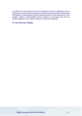excluded from this Agreement from the beginning, and this Agreement will be interpreted and enforced as though the provision had never been included and the legality or enforceability of the remaining provisions of the Agreement or the legality, validity or enforceability of this provision in accordance with the law and/or regulation of any other jurisdiction, shall not be affected.

# **33. Non-Exercise of Rights**

*XTRADE - Xtrade.AU Pty Ltd ACN 140 899 476* 30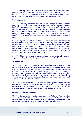33.1. Either Party's failure to seek redress for violations, or to insist upon strict performance, of any condition or provision of this Agreement, or its failure to exercise any or part of any of right or remedy to which that Party is entitled under this Agreement, shall not constitute an implied waiverthereof.

# **34. Assignment**

34.1. The Company may at any time sell, transfer, assign or novate to a third party any or all of its rights, benefits or obligations under this Agreement or the performance of the entire Agreement subject to providing 15 Business Days prior Written Notice to the Client. This may be done without limitation in the event of merger or acquisition of the Company with a third party, reorganisation of the Company, winding up of the Company, lapse of its CIF licence or sale or transfer of all or part of the business or the assets of the Company to a third party.

34.2. It is agreed and understood that in the event of transfer, assignment or novation described in clause 33.1 above, the Company shall have the right to disclose and/or transfer all Client Information (including without limitation personal data, recording, correspondence, due diligence and client identification documents, files and records, the Client trading history) transfer the Client Account and the Client Money as required, subject to providing 15 Business Days prior Written Notice to the Client.

34.3. The Client may not transfer, assign, charge, novate or otherwise transfer or purport to do so the Client's rights or obligations under theAgreement.

#### **35. Introducer**

35.1. In cases where the Client is introduced to the Company through a third person such as a business introducer or associate or affiliate ("Introducer"), the Client acknowledges that the Company is not responsible or accountable for the conduct, representations or the accuracy, completeness or correctness of the contents of any promotions or marketing material of the Introducer or any other third-party, even if these are given or appear to be given in the name of the Company, and the Company is not bound by any separate agreements entered into between the Client and the Introducer.

35.2. The Client acknowledges and confirms that their agreement or relationship with the Introducer may result in additional costs, since the Company may be obliged to pay commission fees or charges to the Introducer. If such apply they will be disclosed to the Client as provided under Applicable Regulations.

#### **36. Authorised Representative**

36.1. The Company may in certain cases accept an Authorised Representative on behalf of the Client to place Orders to the Company or to handle any other matters related to the Client Account or this Agreement, provided the Client notifies the Company in writing of the appointment of an Authorised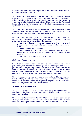Representative and this person is approved by the Company fulfilling all of the Company specifications for this.

36.2. Unless the Company receives a written notification from the Client for the termination of the authorisation of Authorised Representative, the Company, without prejudice to clause 35.4 herein below, has the right to continue accepting Orders and/or other instructions relating to the Client Account by the Authorised Representative on the Client's behalf and the Client will recognise such orders as valid and binding to them.

36.3. The written notification for the termination of the authorisation of the Authorised Representative has to be received by the Company with at least 5 days' notice prior the termination of the authorisationdate.

36.4. The Company has the right (but NOT an obligation to the Client) to refuse to accept Orders and/ or other instructions relating to the Client Account from the Authorised Representative in any of the followingcases:

(a) if the Company reasonably suspects that the Authorised Representative is not legally allowed or properly authorised to act as such;

(b) an Event of Default occurred;

(c) in order for the Company to ensure compliance with the relevant market rules and or practices, Applicable Regulations or other applicable laws; or

(d) in order to protect the interest of the Client.

#### **37. Multiple Account Holders**

37.1. Where the Client comprises two or more persons, they will be deemed joint tenants, and their liabilities and obligations under the Agreement shall be joint and several. Any warning or other notice given to one of the persons which form the Client shall be deemed to have been given to all the persons who form the Client. Any Order given by one of the persons who form the Client shall be deemed to have been given by all the persons who form the Client.

37.2. In the event of the death or mental incapacity of one of the persons who form the Client, all funds held by the Company or its Nominee, will be for the benefit and at the order of the survivor(s) and all obligations and liabilities owed to the Company will be owed by such survivor(s).

## **38. Fees, Taxes and Inducements**

38.1. The provision of the Services by the Company is subject to payment of fees found on the Company's fee schedule on the Platform and/or theWebsite (as the case may be).

38.2. It is agreed and understood that the Client shall be solely responsible for all filings, tax returns and reports which should be made to any relevant authority, whether governmental or otherwise, and for payment of all taxes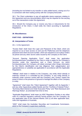(including but not limited to any transfer or value added taxes), arising out of or in connection with their trading activity with the Company hereunder.

38.3. The Client undertakes to pay all applicable stamp expenses relating to this Agreement and any documentation which may be required for the carrying out of the transactions under this Agreement.

38.4. Should the Company pay or receive any fees or inducements for the introduction of the Client, it shall notify the Client according to Applicable Regulations.

#### **39. Miscellaneous**

## **PART FIVE – DEFINITIONS**

#### **40. Interpretation of Terms**

40.1. In this Agreement:

"Access Data" shall mean the Login and Password of the Client, which are required so as to have access on and use the Platform(s) and the telephone password and Client Account number, which are required so as to place Orders via phone and any other secret codes issued by the Company to the Client.

"Account Opening Application Form" shall mean the application form/questionnaire completed by the Client in order to apply for the Company's Services under this Agreement and a Client Account, via which form/questionnaire the Company will obtain amongst other things information for the Client's identification and due diligence, their categorisation and appropriateness or suitability (as applicable) in accordance with the Applicable Regulations.

"Affiliate" shall mean in relation to the Company, any entity which directly or indirectly controls or is controlled by the Company, or any entity directly or indirectly under common control with the Company; and "control" means the power to direct or the presence of ground to manage the affairs of the Company or entity.

"Agreement" shall mean this "Client Agreement" together with its Appendix 1 and any other Appendices added thereto and the "Conflicts of Interest Policy", "Summary Best Interest and Order Execution Policy" and "Risk Disclosure and Warnings Notice", as amended from time to time.

"Applicable Regulations" shall mean (a) ASIC Regulatory Guides or any other rules of a relevant regulatory authority having powers over the Company; (b) any applicable rules of the relevant Market; and (c) all other applicable laws, rules and regulations of Australia.

"ASIC" shall mean the Australian Securities and Investments Commission, which is the Company's supervisory authority.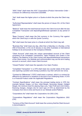"ASIC Order" shall mean the *ASIC Corporations (Product Intervention Order – Contracts for Difference) Instrument 2020/896*.

"Ask" shall mean the higher price in a Quote at which the price the Client may buy.

"Authorised Representative" shall mean the person of clause 35.1 of the Client Agreement.

"Balance" shall mean the total financial result in the Client Account after the last Completed Transaction and depositing/withdrawal operation at any period of time.

"Base Currency" shall mean the first currency in the Currency Pair against which the Client buys or sells the Quote Currency.

"Bid" shall mean the lower price in a Quote at which the Client may sell.

"Business Day" shall mean any day, other than a Saturday or a Sunday, or the 25th of December, or the 1st of January or any other Australian or international holidays to be announced on the Company's Website.

"Client Account" shall mean the unique personalised account of the Client consisting of all Completed Transactions, Open Positions and Orders in the Platform, the Balance of the Client money and deposit/withdrawal transactions of the Client money. Our Website and communication may use the term trading account or account, which mean Client Account.

"Closed Position" shall mean the opposite of an Open Position.

"Completed Transaction" in a CFD shall mean two counter deals of the same size (opening a position and closing a position): buy then sell and vice versa.

"Contract for Differences" ("CFD") shall mean a contract, which is a contract for difference by reference to variations in the price of an Underlying Asset. A CFD is a Financial Product under the Applicable Regulations.

"Contract Specifications" shall mean the principal trading terms in CFD (for example Spread, Swaps, Lot Size, Initial Margin, Necessary Margin, Hedged Margin, the minimum level for placing Stop Loss, Take Profit and Limit Orders, financing charges, charges etc) for each type of CFD as determined by the Company from time to time and found on our Website and/orPlatform.

"Corporations Act" shall mean the *Corporations Act 2001* (Cth).

"Corporations Regulations" shall mean the *Corporations Regulations 2001* (Cth).

"Currency of the Client Account" shall mean the currency that the Client Account is denominated in.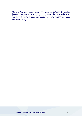"Currency Pair" shall mean the object or Underlying Asset of a CFD Transaction based on the change in the value of one currency against the other. A Currency Pair consists of two currencies (the Quote Currency and the Base Currency) and shows how much of the Quote currency is needed to purchase one unit of the Base Currency.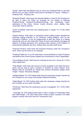"Equity" shall mean the Balance plus or minus any Floating Profit or Loss that derives from an Open Position and shall be calculated as: Equity = Balance + Floating Profit - Floating Loss.

"Essential Details" shall mean the required details in order for the Company to be able to place the Order for example but not limited to Opening Position/Closing Position/Cancelling/Amending, the Underlying Asset, style/name of the Order, volume, market direction, price, validity, Stop Loss/Take Profit (if desired).

"Event of Default" shall have the meaning given in clause 14.1 of the Client Agreement.

"Expert Advisor" shall mean a mechanical online trading system designed to automate trading activities on an electronic trading platform such as the Company's Platform. It can be programmed to alert the Client of a trading opportunity and can also trade their Client Account automatically managing all aspects of trading operations from sending orders directly to the Platform to automatically adjusting stop loss, trailing stops and take profit levels.

"Financial Product" shall mean the Financial Products under the Company's AFSL which can be found on our Website.

"Floating Profit/Loss" in a CFD shall mean current profit/loss on Open Positions calculated at the current Quotes (added any commissions or fees if applicable).

"Force Majeure Event" shall have the meaning as set out in clause 26.1 of the Client Agreement.

"Free Margin" shall mean the amount of funds available in the Client Account, which may be used to open a position or maintain an Open Position. Free Margin shall be calculated as: Equity less (minus) Necessary Margin [Free margin = Equity- Necessary Margin].

"Hedged Margin" for CFD trading shall mean the necessary margin required by the Company so as to open and maintain Matched Positions.

"Initial Margin" for CFD trading shall mean the necessary margin required by the Company so as to open a position.

"Introducer" shall have the meaning as set put in paragraph. 34.1 of the Client Agreement.

"Leverage" for CFD trading shall mean a ratio in respect of Transaction Size and Initial Margin. 1:20 ratio means that in order to open a position, the Initial Margin is twenty times less than the Transactions Size.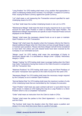"Long Position" for CFD trading shall mean a buy position that appreciates in value if underlying market prices increase. For example, in respect of Currency Pairs: buying the Base Currency against the Quote Currency.

"Lot" shall mean a unit measuring the Transaction amount specified for each Underlying Asset of a CFD.

"Lot Size" shall mean the number Underlying Assets in one Lot in a CFD.

"Maintenance Margin" shall mean the level of equity required to be in your Client Account for each Open Position in order to maintain that Open Position. The Maintenance Margin requirements are specific to each Financial Product and are displayed on the Website.

"Margin" shall mean the necessary cleared funds so as to open or maintain Open Positions in a CFD Transaction.

"Margin Call" shall mean the situation when the Company informs the Client to deposit additional Margin when the Client does not have enough Margin to open or maintain open positions. Please note that a Margin Call will not be considered to have been met unless and until cleared funds have been received by the Company in our nominated account.

"Маrgin Level" for CFD trading shall mean the percentage of Equity to Necessary Margin ratio. It is calculated as: Margin Level = (Equity / Necessary Margin) x 100%.

"Margin Trading" for CFD trading shall mean Leverage trading when the Client may make Transactions having less funds on the Client Account in comparison with the Transaction Size.

"Matched Positions" for CFD trading shall mean Long and Short Positions of the same Transaction Size opened on the Client Account for the same CFD.

"Necessary Margin" for CFD trading shall mean the necessary margin required by the Company so as to maintain Open Positions.

"Normal Market Size" for CFD trading shall mean the maximum number of units of the Underlying Asset that are transmitted by the Company for execution.

"Open Position" shall mean any open contract (call and / or put) which has not been closed. In relation to CFD trading this may be a Long Position or a Short Position which is not a Completed Transaction.

"Order" shall mean an instruction from the Client to trade in CFDs.

"Parties" shall mean the parties to this Client Agreement – i.e. the Company and the Client.

"Pip Hunting" shall mean the situation when the Client opens a position and closes it in a very short time (once there is a profit of one pip).

*XTRADE - Xtrade.AU Pty Ltd ACN 140 899 476* 37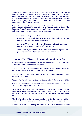"Platform" shall mean the electronic mechanism operated and maintained by the Company consisting of a trading platform, computer devices, software, databases, telecommunication hardware, programs and technical facilities, which facilitates trading activity of the Client in Financial Products via the Client Account. It is understood that the Company may use different Platforms depending on the Financial Product.

"Politically Exposed Persons" ('PEPs') shall mean individuals who occupy a prominent public position or functions in a government body or international organisation, both within and outside Australia. This definition also extends to their immediate family members and close associates.

There are three categories of PEPs:

- *Domestic PEPs* are individuals who hold a prominent public position or function in an Australian government body
- *Foreign PEPs* are individuals who hold a prominent public position or function in a government body of a foreign country.
- *International organisation PEPs* are individuals who hold a prominent public position or function in an international organisation.

"Order Level" for CFD trading shall mean the price indicated in the Order.

"Quote" shall mean the information of the current price for a specific Underlying Asset, in the form of the Bid and Ask prices.

"Quote Currency" shall mean the second currency in the Currency Pair which can be bought or sold by the Client for the Base Currency.

"Quotes Base" in relation to CFD trading shall mean Quotes Flow information stored on the Server.

"Quotes Flow" shall mean the stream of Quotes in the Platform for each CFD.

"Retail Client" shall mean a "Retail Client" as defined in sections 761G and 761GA of the Corporations Act 2001 (Cth).

"Scalping" shall mean the situation where the Client opens too many positions at the same time and closes them in a very short time (for example up to three minutes) or buying at Bid price and selling at Ask price, so as to gain the Bid/Ask difference.

"Services" shall mean the services to be offered by the Company to the Client under this Agreement, as set out in clause 10.1 of the Client Agreement.

"Short Position" for CFD trading shall mean a sell position that appreciates in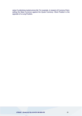value if underlying market prices fall. For example, in respect of Currency Pairs: selling the Base Currency against the Quote Currency. Short Position is the opposite of a Long Position.

## *XTRADE - Xtrade.AU Pty Ltd ACN 140 899 476* 39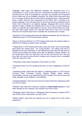"Slippage" shall mean the difference between the expected price of a Transaction in a CFD, and the price the Transaction is actually executed at. At the time that an Order is presented for execution, the specific price requested by the Client may not be available; therefore, the Order will be executed close to or a number of pips away from the Client's requested price. If the execution price is better than the price requested by the Client, this is referred to as positive slippage. If the executed price is worse than the price requested by the Client, this is referred to as negative slippage. Slippage often occurs during periods of higher volatility (for example due to due to news events) making an Order at a specific price impossible to execute, when market orders are used, and also when large Orders are executed when there may not be enough interest at the desired price level to maintain the expected price of trade.

"Spread" for CFD trading shall mean the difference between Ask and Bid of an Underlying Asset in a CFD at that same moment.

"Swap or Premium Rollover" for CFD trading shall mean the interest added or deducted for holding a position open overnight.

"Trailing Stop" in CFD trading shall mean a stop-loss order set at a percentage level below the market price - for a long position. The trailing stop price is adjusted as the price fluctuates. A sell trailing stop order sets the stop price at a fixed amount below the market price with an attached "trailing" amount. As the market price rises, the stop price rises by the trail amount, but if the pair price falls, the stop loss price doesn't change, and a market order is submitted when the stop price is hit.

"Transaction" shall mean transaction of the Client in a CFD.

"Transaction Size" for CFD trading shall mean Lot Size multiplied by number of Lots.

"Underlying Asset" shall mean the object or underlying asset in a CFD may be Currency Pairs, Forwards, Futures, Options, Metals, Equity Indices, Commodities, Shares or as determined by the Company from time to time and made available on the Platform or the Website.

"Underlying Market" shall mean the relevant market where the Underlying Asset of a CFD is traded.

"Website" shall mean the Company's website at *[www.xtrade.com.au](http://www.xtrade.com/)* or such other website as the Company may maintain from time to time.

"Wholesale Client" shall mean a "Wholesale Client" pursuant to sections 761G and 761GA of the Corporations Act 2001 (Cth).

"Written Notice" shall have the meaning set out in clause 22.4 of the Client Agreement.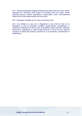40.2. Words importing the singular shall import the plural and vice versa. Words importing the masculine shall import the feminine and vice versa. Words denoting persons include corporations, partnerships, other unincorporated bodies and all other legal entities and vice versa.

40.3. Paragraph headings are for ease of reference only.

40.4. Any reference to any Act or Regulation or law shall be that Act or Regulation or law as amended, modified, supplemented, consolidated, reenacted or replaced from time to time, all guidance noted, directives, statutory instruments, regulations or orders made pursuant to such and any statutory provision of which that statutory provision is a re-enactment, replacement or modification.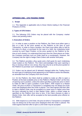# **APPENDIX ONE – CFD TRADING TERMS**

#### **1. Scope**

1.1. This Appendix is applicable only to those Clients trading in the Financial Products of CFDs.

# **2. Types of CFD Orders**

2.1. The following CFD Orders may be placed with the Company: market orders and pending orders.

## **3. Execution of Orders**

3.1. In order to open a position on the Platform, the Client must either open a Buy or a Sell, at the price quoted on the Platform at the time of such Transaction. In order to close a position, the Client must either offer to Sell (in the case of a Buy), or purchase (in the case of a Sell), the Underlying Asset covered by such Open Position, at the price quoted on the Platform at the time of such closing. It is understood that every time the Client places an Order, the Company executes such an Order itself as a counterparty. However, the Company has the right to hedge Client Orders with another third party.

3.2. The Platform provides a Buy quote and a Sell quote for each Underlying Asset traded on the Platform. The Client acknowledges that upon opening a Buy or closing a Sell (or vice versa), they may only do so at the price quoted on the Platform to purchase such Underlying Asset.

3.3. Orders can be placed and (if allowed) changed within the Trading Hours for each type of Underlying Asset appearing on the Platform and/or the Website, as amended from the Company from time to time.

3.4. On the Platform, the Client shall be entitled to make an offer to open a Position at the best available price on the Platform ("Market Order") at the time of opening such a position, unless the Client specifies a particular price in which to make an offer to open a position ("Limit Order"). With respect to a Market Order, the price at which a Transaction is completed may not always be at the exact rate displayed when the Order is placed. The Client agrees that their offer to open a Market Order may be accepted at a lower price or higher price than the price indicated by them in their Market Order, within a certain range as specified on the Platform from time to time. If the Client chooses to open a Market Order, their offer will be accepted at the best possible price offered on the Platform.

3.5. With respect to a Limit Order, the price at which a Transaction is completed may not always be at the exact price displayed when the Order is placed. The Client agrees that their offer to open a Limit Order may be accepted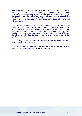at a lower price if a Buy, or higher price if a Sell, than the price indicated by them in their Limit Order as specified on the Platform from time to time. If the Client offers to open a Limit Order, their offer may be accepted at the price indicated by them in their offer. At any time prior to acceptance of a Limit Order, the Client may cancel the Limit Order without any further liability. If the Client open a Limit Order, their offer will be accepted at the best possible price offered on the Platform.

3.6. The Client agrees that the Company may hedge or otherwise offset any Transaction with other third parties in order to offset any liability or risk associated with any of the Client's Transaction(s). In the event that the Company is unable to hedge the Client's Transactions with other third parties, the Company reserves the right to amend the content or terms of an CFD Order including the expiry date, the trading hours or any other parameters in the product details tab.

3.7. Pending Orders, not executed, shall remain effective through the next trading session (as applicable).

3.8. Market Orders not executed because there is not enough volume to fill them, will not remain effective and will be cancelled.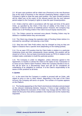3.9. All open spot positions will be rolled over (Premium) to the next Business Day at the close of business in the relevant Underlying Market, subject to the Company's rights to close the open spot position. Any open forward positions will be rolled over at the expiry of the relevant period into the next relevant period subject to the Company's rights to close the open forwardposition.

3.10. Orders shall be valid in accordance with the type and time of the given Order, as specified by the Client. If the time of validity of the Order is not specified, it shall be valid for an indefinite period. However, the Company may delete one or all Pending Orders if the Client Account Equity reacheszero.

3.11. The Orders cannot be removed once placed. Pending Orders may be deleted or modified before they are executed.

3.12. The Client may change the expiration date of Pending Orders before it is executed by cancelling it and placing a new Order.

3.13. Stop loss and Take Profit orders may be changed as long as they are higher in distance than a specific level (depending on the trading symbol).

3.14. For an open CFD position that the Client holds in relation to a particular Underlying Asset and then subsequently closes partially, this position will be closed on a First in, first out basis (commonly known as FIFO) in relation to the multiple trades undertaken to build the particular position.

3.15. The Company is under no obligation, unless otherwise agreed in the Agreement, to monitor or advise the Client on the status of any Transaction or to close out any Client's Open Positions. When the Company decides to do so, this will be done on a discretionary basis and will not be considered an undertaking of an obligation to continue. It is the Client's responsibility to be aware of their positions at all times.

#### **4. Quotes**

4.1. In the event that the Company is unable to proceed with an Order, with regard to price or size or other reason, depending in the type of the Client Account, the Company will send a re-quote. The number of re-quotes appears on the Platform.

4.2. The Quotes appearing on the Client's terminal are indicative and are based on the relevant Underlying Markets. However, if there is high volatility in the Underlying Market the execution of the Order may change and the Client may obtain the first price that will be available in the market and not the market they requested.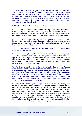4.3. The Company provides Quotes by taking into account the Underlying Asset price, but this does not mean that these Quotes are within any specific percentage of the Underlying Asset price. When the relevant Underlying Market is closed, the Quotes provided by the Company will reflect what the Company thinks to be the current Bid and Ask price of the relevant Underlying Asset at that time. The Client acknowledges that such Quotes will be set by the Company at its absolute discretion.

# **5. Stop Loss Orders, Trailing Stop and Expert Advisor**

5.1. The Client agrees that trading operations using additional functions of the Client Trading Terminal such as Trailing Stop and/or Expert Advisor are executed completely under the Client's responsibility, as they depend directly on their trading terminal and the Company bears no responsibility whatsoever.

5.2. The Client agrees that placing a Stop Loss Order will not necessarily limit losses to the intended amounts, because market conditions may make it impossible to execute such an Order at the stipulated price and the Company bears no responsibility whatsoever.

5.3. The Client may add "Close at Loss" price or "Close at Profit" at any stage when the position is Open.

5.4. Upon the Client placing a limit Order, the Client authorises the Company to close the Transaction at the Close at Loss price or Close at Profit price, as applicable, and as agreed in the Order, without further instruction from or notification to the Client. The Company may close the Transaction when the price quoted by the Company on the Trading Platform equals or exceeds the price accepted by it for such an Order.

5.5. The Client acknowledges that the original price level set forth in a Close at Loss may be amended as the market on the Platform moves in their favour. Whilst their trailing Close at Loss is still in effect, the Client agrees that each change in the market by at least one hundredth of a percentage point (referred to as "Pips" on the Platform) in their favour shall constitute a new offer by the Client to raise the level of their trailing "Close at Loss" by one hundredth of one percentage point. Changes in a Pip will be rounded to the nearest absolute value in the Currency of the Client Account.

5.6. The Client acknowledges and agrees that due to market volatility and factors beyond the Company's control, the Company cannot guarantee that an Order will be executed at the level specified in the Client Order, for example, an Order may be closed at a worse price than as originally specified by the Client in such an Order. In such an event, the Company will close the Transaction at the next best price. For example, with respect to a Close at Loss, in the case of a Buy to close, the price of an Underlying Asset may suddenly increase above the Close at Loss price, without ever reaching such price. In the case of a Sell to close, the price of an Underlying Asset may suddenly decrease below the Close at Loss price, without ever reaching such price.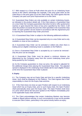5.7. With respect to a Close at Profit where the price for an Underlying Asset moves to the Client's advantage (for example, if the price goes down as the Client Buys or the price goes up as the Client Sells), the Client agrees that the Company can pass such price improvement on to the Client.

5.8. Guaranteed Stop Orders are only available on certain Underlying Assets, as indicated in the product details tab. If the Client places a Guaranteed Stop on a new Order the Company guarantees that when its bid or offer quoted price reaches or goes beyond the close at loss price specified by the Client, it will close the position at exactly the price the Client specified in the Guarantee Stop Order. An open position can be closed in accordance with this Agreement prior to reaching the Guaranteed Stop Order price level.

5.9. A Guaranteed Stop Order is subject to the following additional conditions:

(a) A Guaranteed Stop Order can be requested only on a new Order and is only available on close at loss conditions;

(b) A Guaranteed Stop Order can be activated or edited only when there is trading and an eligible Underlying Asset is available on the Platform;

(c) Once a Guaranteed Stop Order is accepted by us it cannot be removed only the price can be changed;

(d) A Guaranteed Stop Order must be placed a minimum distance (as determined by the Company) away from the current Underlying Asset price being quoted by the Company;

(e) As the Company guarantees to close out price, the spread is adjusted for the additional charge when placing the Guaranteed Stop Order. The adjusted spread is displayed in the Underlying Asset details tab for each eligible Product at the time the Guaranteed Stop Order is placed.

# **6. Expiry**

6.1. The Company may set an Expiry Date and time for a specific Underlying Asset. Such shall be displayed on the Platform. The Client agrees that it their responsibility to check for the Expiry Date and time.

6.2. If the Client does not close an open Position with respect to an Underlying Asset which has an Expiry Date, prior to such Expiry Date, the Open Position shall automatically close upon the Expiry Date. The Open Position shall close at a price which will be the last price quoted on the Platform immediately prior to the applicable Expiry Date and time.

6.3. The Client acknowledges that certain Underlying Markets may become volatile or illiquid without warning. In such circumstances it may not be possible to execute Client Orders, particularly in the period shortly before an expiry.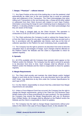# **7. Swaps / "Premium" – rollover interest**

7.1. Any Open Position at the end of the trading day or over the weekend, shall automatically be rolled over to the next business day to avoid an automatic close and settlement of the Transaction. The Client acknowledges that when rolling such Transactions to the next business day, a Swap will be either added or subtracted from their Client Account with respect to such Open Position. Information concerning the Swap for each Underlying Asset is displayed on the Platform. In deciding whether to open a position, the Client acknowledges that they are aware of the Swap.

7.2. The Swap is charged daily on the Client Account. The operation is conducted at 22:00 (21:00 DST) (GMT time) and can take several minutes.

7.3. The Client authorises the Company to add or subtract the Swaps fees to or from the Client Account for any open Transactions that have accrued such a fee, in accordance with the applicable rate thereto, each day at the time of collection specified on the Platform for each Underlying Asset, asapplicable.

7.4. The Company has the right to amend in its discretion from time-to-time the calculation days or percentages of Swaps. Such changes shall be affected on the Platform and/or the Website and the Client is responsible to check for updates regularly.

## **8. Spreads**

8.1. All CFDs available with the Company have spreads which appear on the Platform and/or the Website. The Company has the right to amend its spreads in its discretion from time to time. Such changes shall be affected on the Platform and/or the Website and the Client is responsible to check for updates regularly.

# **9. Margin Requirements**

9.1. The Client shall provide and maintain the Initial Margin and/or Hedged Margin in such limits as the Company, at its sole discretion and in line with the ASIC Order, may determine at any time under the Contract Specifications for each type of CFD.

9.2. It is the Client's responsibility to ensure that they understand how Margin requirements are calculated.

9.3. Unless a Force Majeure Event has occurred, the Company has the right to change the Margin requirements, giving to the Client ten (10) Business Days Written Notice prior to these amendments for open positions. For new positions the Company may amend the Margin Requirements with one (1) Business Day's Written Notice. All changes shall be affected on the Platform and/or the Website and the Client is responsible to check for updates.

9.4. The Company has the right to change Margin requirements without prior notice to the Client in the case of Force Majeure Event. In this situation the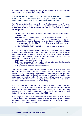Company has the right to apply new Margin requirements to the new positions and to the positions which are already open.

9.5. For avoidance of doubt, the Company will ensure that the Margin requirements are in line with the ASIC Order and has no discretion to lower Margin requirements below the level mandated by the ASIC Order.

9.6. Without prejudice to clause 13.1 of the Client Agreement, the Company has the right to close and or limit the size of Client open positions (New or Gross) and to refuse Client orders to establish new positions in any of the following cases:

- (a) The value of Client collateral falls below the minimum margin requirement.
- (b) At any time, the net equity of the Client Account is less than the higher of the amount required by the ASIC Order (the aggregate close out protection amount) or that required by the Company, to be held in the Client Account for the Client's Open Positions at that time that are connected to the Client Account.
- (c) The Company makes a Margin Call and the Client fails to meet it.

9.7. The Company may make Margin Calls to the Client automatically via the Platform when the Margin in their Client Account has reached a certain percentage. When the Platform warns the Client that it reached a certain percentage of the Margin in the Client Account, the Client should take any or all of the three options to deal with the situation:

- (a) Limit their exposure (close trades); or
- (b) Hedge their positions (open counter positions to the ones they have right now) while reevaluating the situation; or
- (c) Deposit more money in their Client Account.

The Client is required to log-in to the Platform on a daily basis when they have open positions to ensure they receive notification of any such Margin Calls. It is the Client's sole responsibility to monitor and manage their open positions and exposures, and ensure Margin calls are met as required. Where the Client has not checked the trading platform for Margin call notifications, and so has not met them in a timely manner, all margined positions will be closed out by the Company, without further reference to the Client;

9.8. If the Client fails to take action according to clause 9.7 or when the Client reaches 50% of the Margin in the Client Account, their positions will start closing automatically (Stop Out level of 50%) starting with the most losing Order and the Company has the right to refuse any newOrders. The Company is required to take this action as a consequence of the ASIC Order.

9.9. Margin shall be paid in monetary funds in the Currency of the Client Account. Should the client deposit money in a different currency the Company shall make a conversion into the Currency of the Client Account according to clause 18 of the Client Agreement.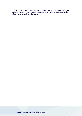9.10.The Client undertakes neither to create nor to have outstanding any security interest whatsoever over, nor to agree to assign or transfer, any of the Margin transferred to the Company.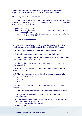Termination tales place. It is the Client's responsibility to ensure the required level of Margin exists for each Client Account separately.

# **10. Negative Balance Protection**

10.1. If the Client, being a Retail Client for the purposes of this clause 10, incurs a liability through trading CFDs, our recourse is limited to the money in the Client's Client Account, whether;

- (a) deposited by the Client; or
- (b) paid into the Client Account by the CFD issuer in relation to dealing in a CFD by the Client; or
- (c) received or deposited into the Client Account, irrespective of whether this was associated with CFD trading.

# **11. Deal Protection Feature**

By enabling the feature "Deal Protection", the client agrees to the following conditions which are applicable upon clicking the SELL or BUY button.

11.1 The fee paid for the Deal protection feature is non-refundable.

11.2 Premium fee cannot be more than the available balance.

11.3 The premium fee paid only covers the duration specified when the deal was opened and cannot be extended.

11.4 The premium fee calculation is based on the realised volatility of the selected product.

11.5 Deal protection cover cannot be renewed and/or amended once it is expired or exercised.

11.6 The client must choose one of the following trade time (hereinafter referred to as "expiry time"):

- a. 1 hour
- b. 3 hours
- c. 6 hours

11.7 The above mentioned three different expiry times will vary on their charges.

11.8 The Deal protection choices may vary based on instrument selected.

11.9 A deal covered with Deal protection can be closed at any time before the expiration time.

11.10 A deal will end at one of the following occasions and/or events, except if any unauthorized activity is observed:

- a) "Closing Deal" initiated by the client;
- b) Margin Call.